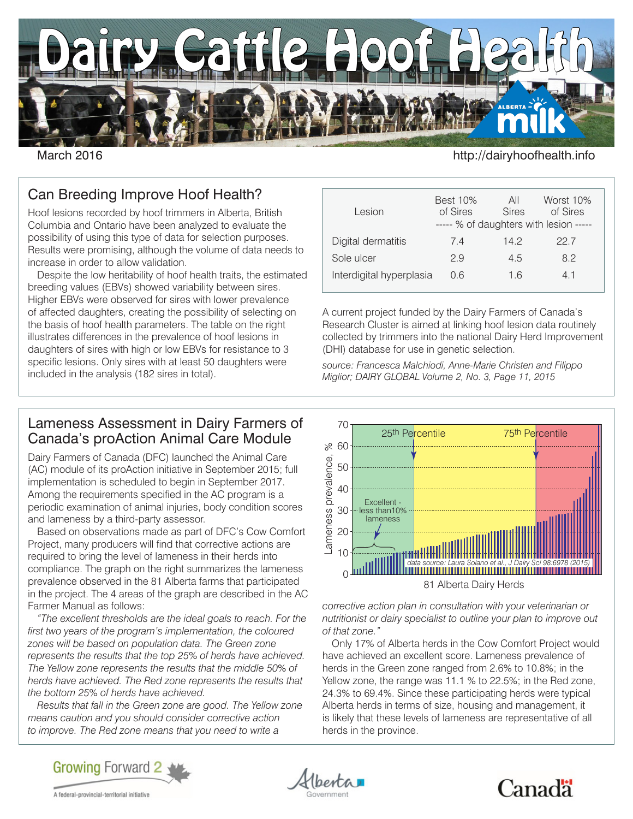

March 2016 **http://dairyhoofhealth.info** 

# Can Breeding Improve Hoof Health?

Hoof lesions recorded by hoof trimmers in Alberta, British Columbia and Ontario have been analyzed to evaluate the possibility of using this type of data for selection purposes. Results were promising, although the volume of data needs to increase in order to allow validation.

Despite the low heritability of hoof health traits, the estimated breeding values (EBVs) showed variability between sires. Higher EBVs were observed for sires with lower prevalence of affected daughters, creating the possibility of selecting on the basis of hoof health parameters. The table on the right illustrates differences in the prevalence of hoof lesions in daughters of sires with high or low EBVs for resistance to 3 specific lesions. Only sires with at least 50 daughters were included in the analysis (182 sires in total).

### Best 10% All Worst 10% Lesion of Sires Sires of Sires ----- % of daughters with lesion ----- Digital dermatitis  $7.4$  14.2 22.7 Sole ulcer 2.9 4.5 8.2 Interdigital hyperplasia 0.6 1.6 4.1

A current project funded by the Dairy Farmers of Canada's Research Cluster is aimed at linking hoof lesion data routinely collected by trimmers into the national Dairy Herd Improvement (DHI) database for use in genetic selection.

*source: Francesca Malchiodi, Anne-Marie Christen and Filippo Miglior; DAIRY GLOBAL Volume 2, No. 3, Page 11, 2015*

#### Lameness Assessment in Dairy Farmers of Canada's proAction Animal Care Module

Dairy Farmers of Canada (DFC) launched the Animal Care (AC) module of its proAction initiative in September 2015; full implementation is scheduled to begin in September 2017. Among the requirements specified in the AC program is a periodic examination of animal injuries, body condition scores and lameness by a third-party assessor.

Based on observations made as part of DFC's Cow Comfort Project, many producers will find that corrective actions are required to bring the level of lameness in their herds into compliance. The graph on the right summarizes the lameness prevalence observed in the 81 Alberta farms that participated in the project. The 4 areas of the graph are described in the AC Farmer Manual as follows:

*"The excellent thresholds are the ideal goals to reach. For the first two years of the program's implementation, the coloured zones will be based on population data. The Green zone represents the results that the top 25% of herds have achieved. The Yellow zone represents the results that the middle 50% of herds have achieved. The Red zone represents the results that the bottom 25% of herds have achieved.*

*Results that fall in the Green zone are good. The Yellow zone means caution and you should consider corrective action to improve. The Red zone means that you need to write a* 



*corrective action plan in consultation with your veterinarian or nutritionist or dairy specialist to outline your plan to improve out of that zone."*

Only 17% of Alberta herds in the Cow Comfort Project would have achieved an excellent score. Lameness prevalence of herds in the Green zone ranged from 2.6% to 10.8%; in the Yellow zone, the range was 11.1 % to 22.5%; in the Red zone, 24.3% to 69.4%. Since these participating herds were typical Alberta herds in terms of size, housing and management, it is likely that these levels of lameness are representative of all herds in the province.



besta